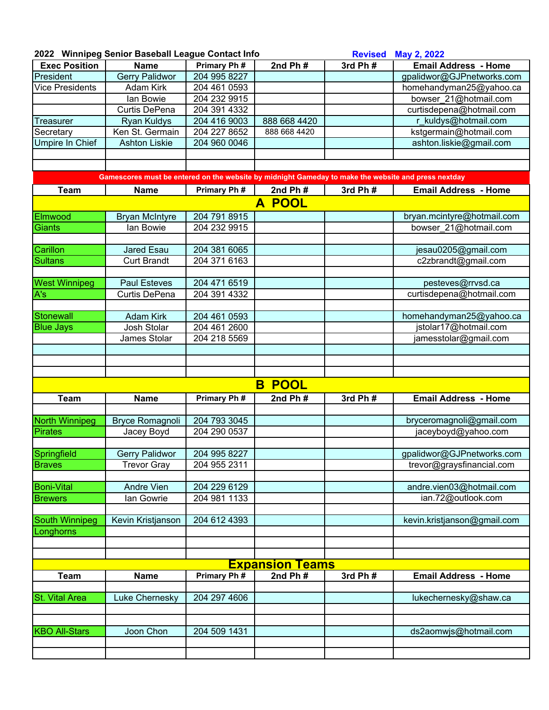| 2022 Winnipeg Senior Baseball League Contact Info |  |  |  |  |  |  |  |
|---------------------------------------------------|--|--|--|--|--|--|--|
|---------------------------------------------------|--|--|--|--|--|--|--|

|                        | 2022 Winnipeg Senior Baseball League Contact Info<br><b>Revised</b>                                 |              |                        | May 2, 2022 |                             |
|------------------------|-----------------------------------------------------------------------------------------------------|--------------|------------------------|-------------|-----------------------------|
| <b>Exec Position</b>   | <b>Name</b>                                                                                         | Primary Ph # | 2nd Ph $#$             | 3rd Ph#     | <b>Email Address - Home</b> |
| President              | <b>Gerry Palidwor</b>                                                                               | 204 995 8227 |                        |             | gpalidwor@GJPnetworks.com   |
| <b>Vice Presidents</b> | Adam Kirk                                                                                           | 204 461 0593 |                        |             | homehandyman25@yahoo.ca     |
|                        | lan Bowie                                                                                           | 204 232 9915 |                        |             | bowser 21@hotmail.com       |
|                        | Curtis DePena                                                                                       | 204 391 4332 |                        |             | curtisdepena@hotmail.com    |
| <b>Treasurer</b>       | <b>Ryan Kuldys</b>                                                                                  | 204 416 9003 | 888 668 4420           |             | r_kuldys@hotmail.com        |
| Secretary              | Ken St. Germain                                                                                     | 204 227 8652 | 888 668 4420           |             | kstgermain@hotmail.com      |
| <b>Umpire In Chief</b> | <b>Ashton Liskie</b>                                                                                | 204 960 0046 |                        |             | ashton.liskie@gmail.com     |
|                        |                                                                                                     |              |                        |             |                             |
|                        |                                                                                                     |              |                        |             |                             |
|                        | Gamescores must be entered on the website by midnight Gameday to make the website and press nextday |              |                        |             |                             |
| <b>Team</b>            | <b>Name</b>                                                                                         | Primary Ph#  | 2nd $Ph#$              | 3rd Ph #    | <b>Email Address - Home</b> |
|                        |                                                                                                     |              | A POOL                 |             |                             |
| Elmwood                | <b>Bryan McIntyre</b>                                                                               | 204 791 8915 |                        |             | bryan.mcintyre@hotmail.com  |
| <b>Giants</b>          | lan Bowie                                                                                           | 204 232 9915 |                        |             | bowser_21@hotmail.com       |
|                        |                                                                                                     |              |                        |             |                             |
| Carillon               | Jared Esau                                                                                          | 204 381 6065 |                        |             | jesau0205@gmail.com         |
| <b>Sultans</b>         | <b>Curt Brandt</b>                                                                                  | 204 371 6163 |                        |             | c2zbrandt@gmail.com         |
|                        |                                                                                                     |              |                        |             |                             |
| <b>West Winnipeg</b>   | <b>Paul Esteves</b>                                                                                 | 204 471 6519 |                        |             | pesteves@rrvsd.ca           |
| A's                    | Curtis DePena                                                                                       | 204 391 4332 |                        |             | curtisdepena@hotmail.com    |
|                        |                                                                                                     |              |                        |             |                             |
| Stonewall              | <b>Adam Kirk</b>                                                                                    | 204 461 0593 |                        |             | homehandyman25@yahoo.ca     |
| <b>Blue Jays</b>       | Josh Stolar                                                                                         | 204 461 2600 |                        |             | jstolar17@hotmail.com       |
|                        | James Stolar                                                                                        | 204 218 5569 |                        |             | jamesstolar@gmail.com       |
|                        |                                                                                                     |              |                        |             |                             |
|                        |                                                                                                     |              |                        |             |                             |
|                        |                                                                                                     |              |                        |             |                             |
|                        |                                                                                                     |              | <b>POOL</b><br>B       |             |                             |
| <b>Team</b>            | <b>Name</b>                                                                                         | Primary Ph # | 2nd $Ph#$              | 3rd Ph #    | <b>Email Address - Home</b> |
|                        |                                                                                                     |              |                        |             |                             |
| North Winnipeg         | <b>Bryce Romagnoli</b>                                                                              | 204 793 3045 |                        |             | bryceromagnoli@gmail.com    |
| <b>Pirates</b>         | Jacey Boyd                                                                                          | 204 290 0537 |                        |             | jaceyboyd@yahoo.com         |
|                        |                                                                                                     |              |                        |             |                             |
| Springfield            | <b>Gerry Palidwor</b>                                                                               | 204 995 8227 |                        |             | gpalidwor@GJPnetworks.com   |
| <b>Braves</b>          | <b>Trevor Gray</b>                                                                                  | 204 955 2311 |                        |             | trevor@graysfinancial.com   |
|                        |                                                                                                     |              |                        |             |                             |
| <b>Boni-Vital</b>      | <b>Andre Vien</b>                                                                                   | 204 229 6129 |                        |             | andre.vien03@hotmail.com    |
| <b>Brewers</b>         | lan Gowrie                                                                                          | 204 981 1133 |                        |             | ian.72@outlook.com          |
|                        |                                                                                                     |              |                        |             |                             |
| South Winnipeg         | Kevin Kristjanson                                                                                   | 204 612 4393 |                        |             | kevin.kristjanson@gmail.com |
| Longhorns              |                                                                                                     |              |                        |             |                             |
|                        |                                                                                                     |              |                        |             |                             |
|                        |                                                                                                     |              |                        |             |                             |
|                        |                                                                                                     |              | <u>Expansion Teams</u> |             |                             |
| <b>Team</b>            | <b>Name</b>                                                                                         | Primary Ph#  | 2nd $Ph#$              | 3rd Ph #    | <b>Email Address - Home</b> |
| <b>St. Vital Area</b>  |                                                                                                     | 204 297 4606 |                        |             | lukechernesky@shaw.ca       |
|                        | Luke Chernesky                                                                                      |              |                        |             |                             |
|                        |                                                                                                     |              |                        |             |                             |
| <b>KBO All-Stars</b>   | Joon Chon                                                                                           | 204 509 1431 |                        |             | ds2aomwjs@hotmail.com       |
|                        |                                                                                                     |              |                        |             |                             |
|                        |                                                                                                     |              |                        |             |                             |